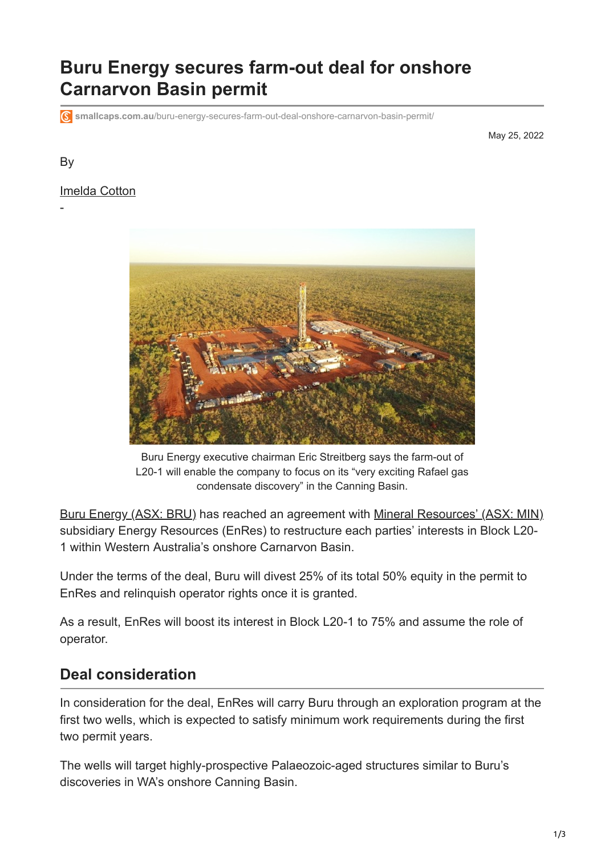# **Buru Energy secures farm-out deal for onshore Carnarvon Basin permit**

**smallcaps.com.au**[/buru-energy-secures-farm-out-deal-onshore-carnarvon-basin-permit/](https://smallcaps.com.au/buru-energy-secures-farm-out-deal-onshore-carnarvon-basin-permit/)

May 25, 2022

#### By

-

#### [Imelda Cotton](https://smallcaps.com.au/author/imelda-cotton/)



Buru Energy executive chairman Eric Streitberg says the farm-out of L20-1 will enable the company to focus on its "very exciting Rafael gas condensate discovery" in the Canning Basin.

[Buru Energy \(ASX: BRU\)](https://smallcaps.com.au/stocks/BRU/) has reached an agreement with [Mineral Resources' \(ASX: MIN\)](https://smallcaps.com.au/stocks/MIN/) subsidiary Energy Resources (EnRes) to restructure each parties' interests in Block L20- 1 within Western Australia's onshore Carnarvon Basin.

Under the terms of the deal, Buru will divest 25% of its total 50% equity in the permit to EnRes and relinquish operator rights once it is granted.

As a result, EnRes will boost its interest in Block L20-1 to 75% and assume the role of operator.

#### **Deal consideration**

In consideration for the deal, EnRes will carry Buru through an exploration program at the first two wells, which is expected to satisfy minimum work requirements during the first two permit years.

The wells will target highly-prospective Palaeozoic-aged structures similar to Buru's discoveries in WA's onshore Canning Basin.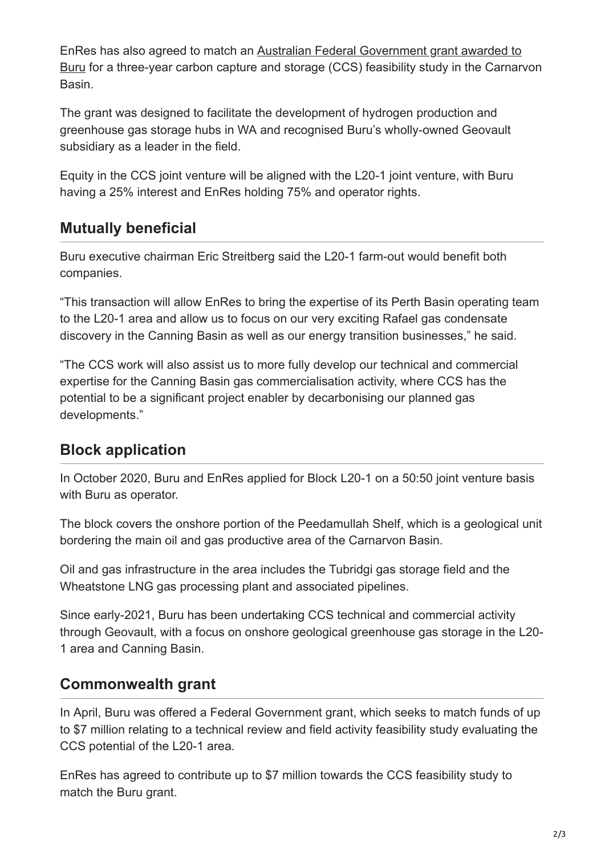[EnRes has also agreed to match an Australian Federal Government grant awarded to](https://smallcaps.com.au/buru-energy-offered-government-support-greenhouse-gas-storage-project/) Buru for a three-year carbon capture and storage (CCS) feasibility study in the Carnarvon Basin.

The grant was designed to facilitate the development of hydrogen production and greenhouse gas storage hubs in WA and recognised Buru's wholly-owned Geovault subsidiary as a leader in the field.

Equity in the CCS joint venture will be aligned with the L20-1 joint venture, with Buru having a 25% interest and EnRes holding 75% and operator rights.

# **Mutually beneficial**

Buru executive chairman Eric Streitberg said the L20-1 farm-out would benefit both companies.

"This transaction will allow EnRes to bring the expertise of its Perth Basin operating team to the L20-1 area and allow us to focus on our very exciting Rafael gas condensate discovery in the Canning Basin as well as our energy transition businesses," he said.

"The CCS work will also assist us to more fully develop our technical and commercial expertise for the Canning Basin gas commercialisation activity, where CCS has the potential to be a significant project enabler by decarbonising our planned gas developments."

# **Block application**

In October 2020, Buru and EnRes applied for Block L20-1 on a 50:50 joint venture basis with Buru as operator.

The block covers the onshore portion of the Peedamullah Shelf, which is a geological unit bordering the main oil and gas productive area of the Carnarvon Basin.

Oil and gas infrastructure in the area includes the Tubridgi gas storage field and the Wheatstone LNG gas processing plant and associated pipelines.

Since early-2021, Buru has been undertaking CCS technical and commercial activity through Geovault, with a focus on onshore geological greenhouse gas storage in the L20- 1 area and Canning Basin.

### **Commonwealth grant**

In April, Buru was offered a Federal Government grant, which seeks to match funds of up to \$7 million relating to a technical review and field activity feasibility study evaluating the CCS potential of the L20-1 area.

EnRes has agreed to contribute up to \$7 million towards the CCS feasibility study to match the Buru grant.